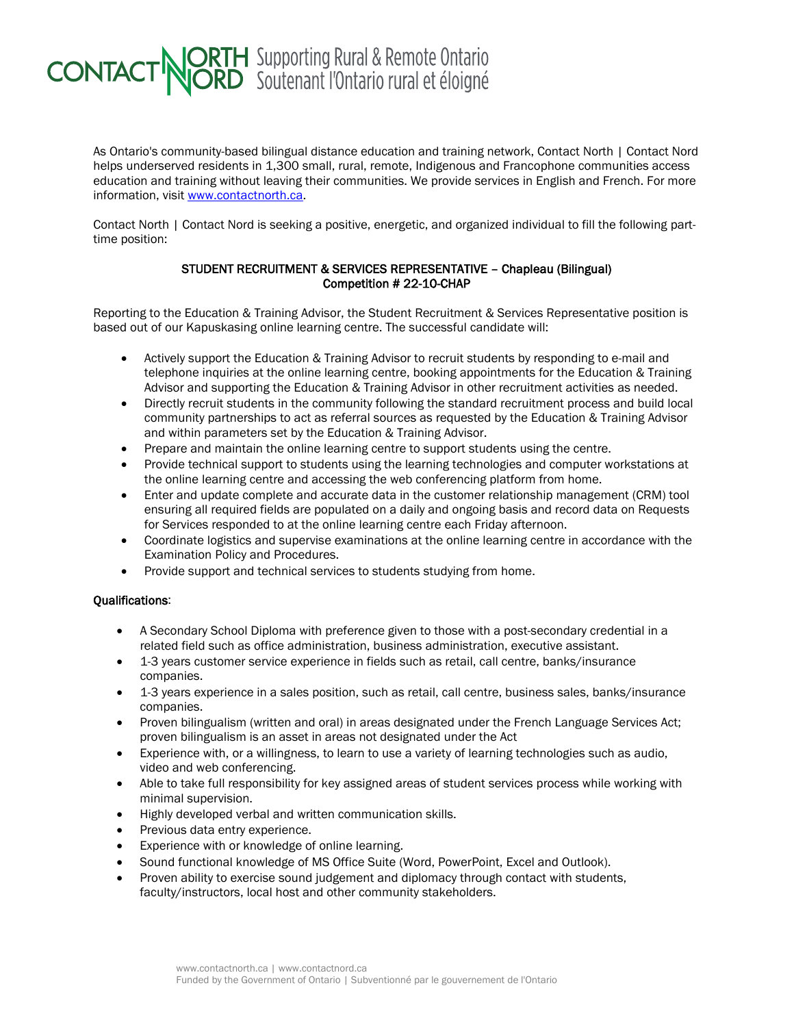## **CONTACT NORTH** Supporting Rural & Remote Ontario

As Ontario's community-based bilingual distance education and training network, Contact North | Contact Nord helps underserved residents in 1,300 small, rural, remote, Indigenous and Francophone communities access education and training without leaving their communities. We provide services in English and French. For more information, visit [www.contactnorth.ca.](http://www.contactnorth.ca/)

Contact North | Contact Nord is seeking a positive, energetic, and organized individual to fill the following parttime position:

## STUDENT RECRUITMENT & SERVICES REPRESENTATIVE – Chapleau (Bilingual) Competition # 22-10-CHAP

Reporting to the Education & Training Advisor, the Student Recruitment & Services Representative position is based out of our Kapuskasing online learning centre. The successful candidate will:

- Actively support the Education & Training Advisor to recruit students by responding to e-mail and telephone inquiries at the online learning centre, booking appointments for the Education & Training Advisor and supporting the Education & Training Advisor in other recruitment activities as needed.
- Directly recruit students in the community following the standard recruitment process and build local community partnerships to act as referral sources as requested by the Education & Training Advisor and within parameters set by the Education & Training Advisor.
- Prepare and maintain the online learning centre to support students using the centre.
- Provide technical support to students using the learning technologies and computer workstations at the online learning centre and accessing the web conferencing platform from home.
- Enter and update complete and accurate data in the customer relationship management (CRM) tool ensuring all required fields are populated on a daily and ongoing basis and record data on Requests for Services responded to at the online learning centre each Friday afternoon.
- Coordinate logistics and supervise examinations at the online learning centre in accordance with the Examination Policy and Procedures.
- Provide support and technical services to students studying from home.

## Qualifications:

- A Secondary School Diploma with preference given to those with a post-secondary credential in a related field such as office administration, business administration, executive assistant.
- 1-3 years customer service experience in fields such as retail, call centre, banks/insurance companies.
- 1-3 years experience in a sales position, such as retail, call centre, business sales, banks/insurance companies.
- Proven bilingualism (written and oral) in areas designated under the French Language Services Act; proven bilingualism is an asset in areas not designated under the Act
- Experience with, or a willingness, to learn to use a variety of learning technologies such as audio, video and web conferencing.
- Able to take full responsibility for key assigned areas of student services process while working with minimal supervision.
- Highly developed verbal and written communication skills.
- Previous data entry experience.
- Experience with or knowledge of online learning.
- Sound functional knowledge of MS Office Suite (Word, PowerPoint, Excel and Outlook).
- Proven ability to exercise sound judgement and diplomacy through contact with students, faculty/instructors, local host and other community stakeholders.